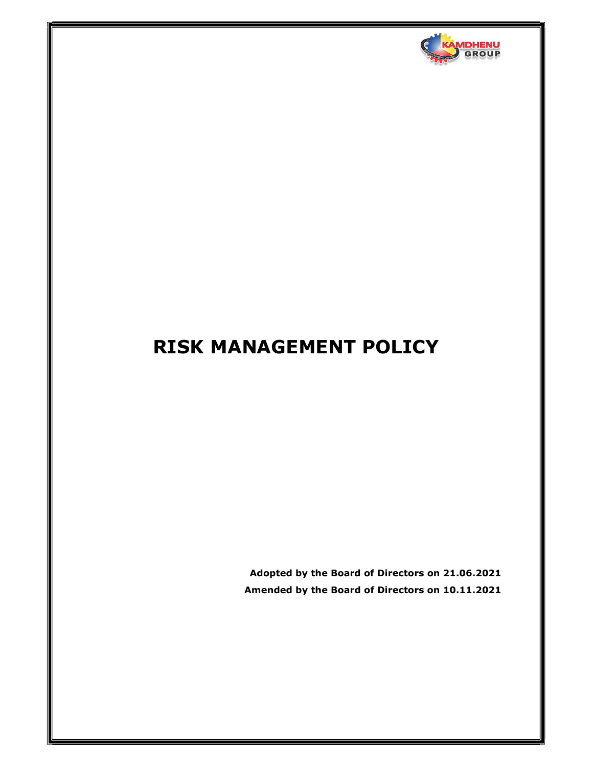

# RISK MANAGEMENT POLICY

Adopted by the Board of Directors on 21.06.2021 Amended by the Board of Directors on 10.11.2021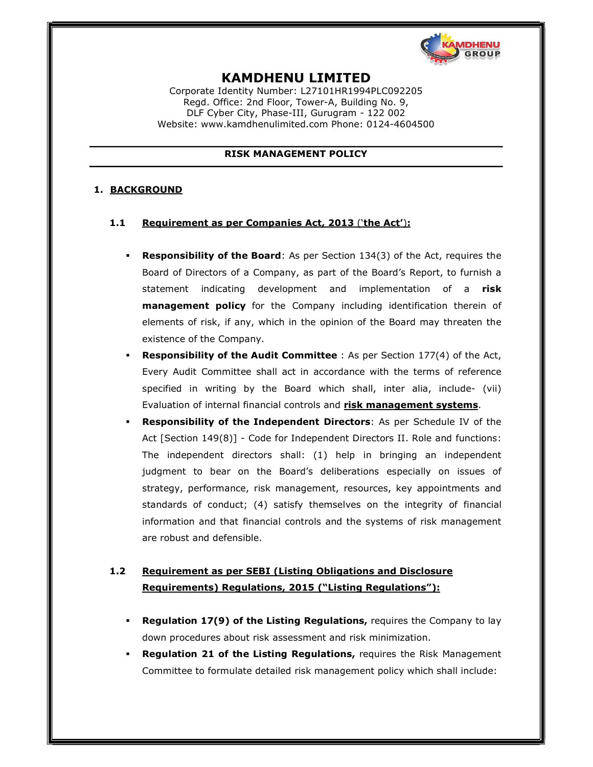

# KAMDHENU LIMITED

Corporate Identity Number: L27101HR1994PLC092205 Regd. Office: 2nd Floor, Tower-A, Building No. 9, DLF Cyber City, Phase-III, Gurugram - 122 002 Website: www.kamdhenulimited.com Phone: 0124-4604500

#### RISK MANAGEMENT POLICY

### 1. BACKGROUND

#### 1.1 Requirement as per Companies Act, 2013 ('the Act'):

- **Responsibility of the Board**: As per Section 134(3) of the Act, requires the Board of Directors of a Company, as part of the Board's Report, to furnish a statement indicating development and implementation of a risk management policy for the Company including identification therein of elements of risk, if any, which in the opinion of the Board may threaten the existence of the Company.
- Responsibility of the Audit Committee : As per Section 177(4) of the Act, Every Audit Committee shall act in accordance with the terms of reference specified in writing by the Board which shall, inter alia, include- (vii) Evaluation of internal financial controls and risk management systems.
- Responsibility of the Independent Directors: As per Schedule IV of the Act [Section 149(8)] - Code for Independent Directors II. Role and functions: The independent directors shall: (1) help in bringing an independent judgment to bear on the Board's deliberations especially on issues of strategy, performance, risk management, resources, key appointments and standards of conduct; (4) satisfy themselves on the integrity of financial information and that financial controls and the systems of risk management are robust and defensible.

# 1.2 Requirement as per SEBI (Listing Obligations and Disclosure Requirements) Regulations, 2015 ("Listing Regulations"):

- Regulation 17(9) of the Listing Regulations, requires the Company to lay down procedures about risk assessment and risk minimization.
- Regulation 21 of the Listing Regulations, requires the Risk Management Committee to formulate detailed risk management policy which shall include: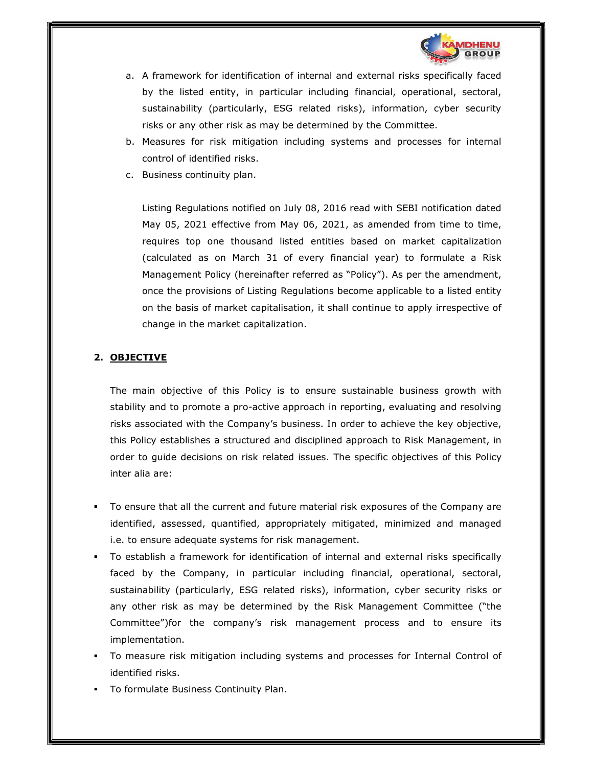

- a. A framework for identification of internal and external risks specifically faced by the listed entity, in particular including financial, operational, sectoral, sustainability (particularly, ESG related risks), information, cyber security risks or any other risk as may be determined by the Committee.
- b. Measures for risk mitigation including systems and processes for internal control of identified risks.
- c. Business continuity plan.

Listing Regulations notified on July 08, 2016 read with SEBI notification dated May 05, 2021 effective from May 06, 2021, as amended from time to time, requires top one thousand listed entities based on market capitalization (calculated as on March 31 of every financial year) to formulate a Risk Management Policy (hereinafter referred as "Policy"). As per the amendment, once the provisions of Listing Regulations become applicable to a listed entity on the basis of market capitalisation, it shall continue to apply irrespective of change in the market capitalization.

# 2. OBJECTIVE

The main objective of this Policy is to ensure sustainable business growth with stability and to promote a pro-active approach in reporting, evaluating and resolving risks associated with the Company's business. In order to achieve the key objective, this Policy establishes a structured and disciplined approach to Risk Management, in order to guide decisions on risk related issues. The specific objectives of this Policy inter alia are:

- To ensure that all the current and future material risk exposures of the Company are identified, assessed, quantified, appropriately mitigated, minimized and managed i.e. to ensure adequate systems for risk management.
- To establish a framework for identification of internal and external risks specifically faced by the Company, in particular including financial, operational, sectoral, sustainability (particularly, ESG related risks), information, cyber security risks or any other risk as may be determined by the Risk Management Committee ("the Committee")for the company's risk management process and to ensure its implementation.
- To measure risk mitigation including systems and processes for Internal Control of identified risks.
- To formulate Business Continuity Plan.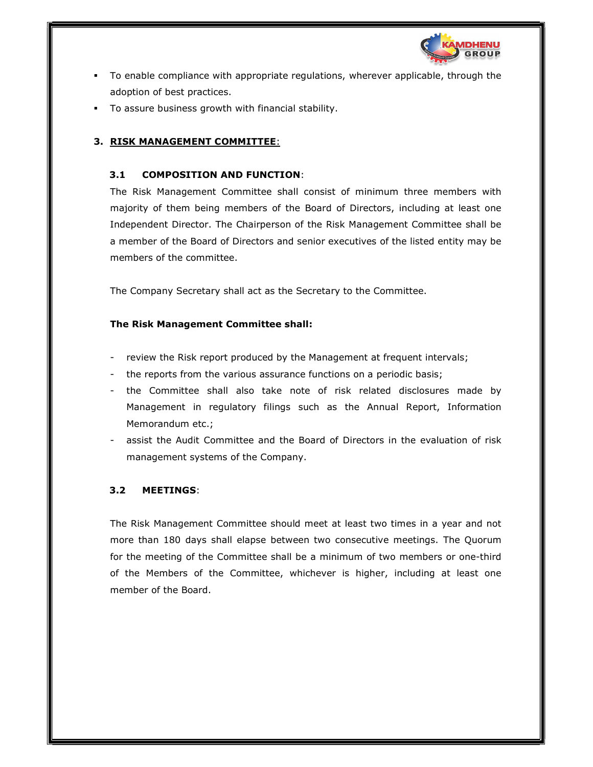

- To enable compliance with appropriate regulations, wherever applicable, through the adoption of best practices.
- To assure business growth with financial stability.

# 3. RISK MANAGEMENT COMMITTEE:

# 3.1 COMPOSITION AND FUNCTION:

The Risk Management Committee shall consist of minimum three members with majority of them being members of the Board of Directors, including at least one Independent Director. The Chairperson of the Risk Management Committee shall be a member of the Board of Directors and senior executives of the listed entity may be members of the committee.

The Company Secretary shall act as the Secretary to the Committee.

# The Risk Management Committee shall:

- 
- 
- review the Risk report produced by the Management at frequent intervals;<br>the reports from the various assurance functions on a periodic basis;<br>the Committee shall also take note of risk related disclosures made by Management in regulatory filings such as the Annual Report, Information Memorandum etc.;<br>assist the Audit Committee and the Board of Directors in the evaluation of risk
- management systems of the Company.

# 3.2 MEETINGS:

The Risk Management Committee should meet at least two times in a year and not more than 180 days shall elapse between two consecutive meetings. The Quorum for the meeting of the Committee shall be a minimum of two members or one-third of the Members of the Committee, whichever is higher, including at least one member of the Board.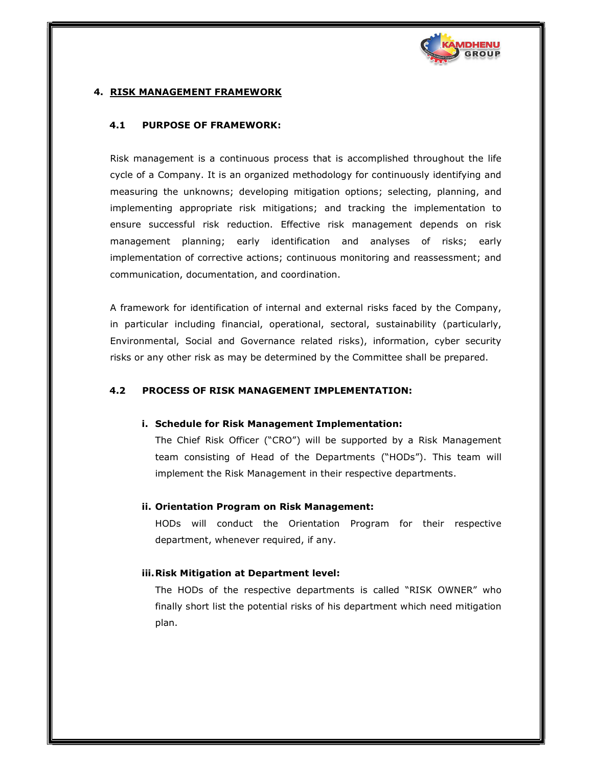

#### 4. RISK MANAGEMENT FRAMEWORK

#### 4.1 PURPOSE OF FRAMEWORK:

Risk management is a continuous process that is accomplished throughout the life cycle of a Company. It is an organized methodology for continuously identifying and measuring the unknowns; developing mitigation options; selecting, planning, and implementing appropriate risk mitigations; and tracking the implementation to ensure successful risk reduction. Effective risk management depends on risk management planning; early identification and analyses of risks; early implementation of corrective actions; continuous monitoring and reassessment; and communication, documentation, and coordination.

A framework for identification of internal and external risks faced by the Company, in particular including financial, operational, sectoral, sustainability (particularly, Environmental, Social and Governance related risks), information, cyber security risks or any other risk as may be determined by the Committee shall be prepared.

#### 4.2 PROCESS OF RISK MANAGEMENT IMPLEMENTATION:

#### i. Schedule for Risk Management Implementation:

The Chief Risk Officer ("CRO") will be supported by a Risk Management team consisting of Head of the Departments ("HODs"). This team will implement the Risk Management in their respective departments.

#### ii. Orientation Program on Risk Management:

HODs will conduct the Orientation Program for their respective department, whenever required, if any.

#### iii.Risk Mitigation at Department level:

The HODs of the respective departments is called "RISK OWNER" who finally short list the potential risks of his department which need mitigation plan.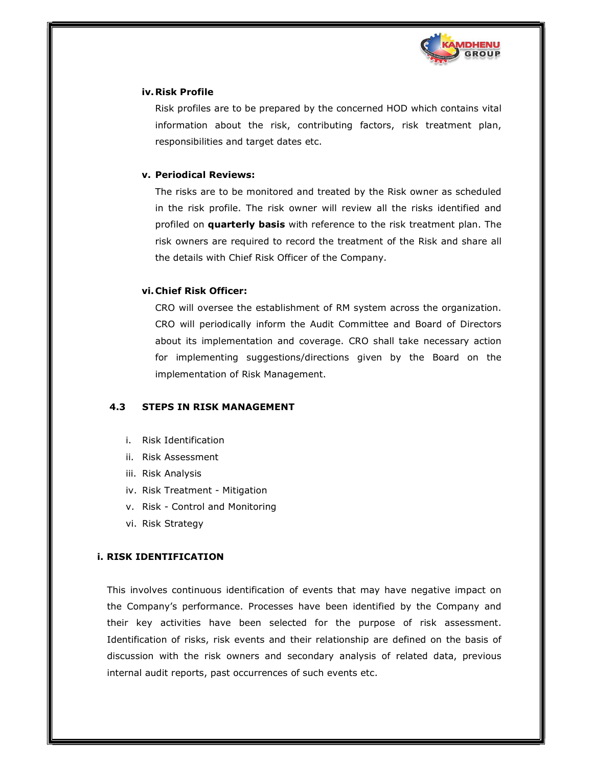

#### iv.Risk Profile

Risk profiles are to be prepared by the concerned HOD which contains vital information about the risk, contributing factors, risk treatment plan, responsibilities and target dates etc.

### v. Periodical Reviews:

The risks are to be monitored and treated by the Risk owner as scheduled in the risk profile. The risk owner will review all the risks identified and profiled on **quarterly basis** with reference to the risk treatment plan. The risk owners are required to record the treatment of the Risk and share all the details with Chief Risk Officer of the Company.

# vi.Chief Risk Officer:

CRO will oversee the establishment of RM system across the organization. CRO will periodically inform the Audit Committee and Board of Directors about its implementation and coverage. CRO shall take necessary action for implementing suggestions/directions given by the Board on the implementation of Risk Management.

# 4.3 STEPS IN RISK MANAGEMENT

- i. Risk Identification
- ii. Risk Assessment
- iii. Risk Analysis
- iv. Risk Treatment Mitigation
- v. Risk Control and Monitoring
- vi. Risk Strategy

# i. RISK IDENTIFICATION

This involves continuous identification of events that may have negative impact on the Company's performance. Processes have been identified by the Company and their key activities have been selected for the purpose of risk assessment. Identification of risks, risk events and their relationship are defined on the basis of discussion with the risk owners and secondary analysis of related data, previous internal audit reports, past occurrences of such events etc.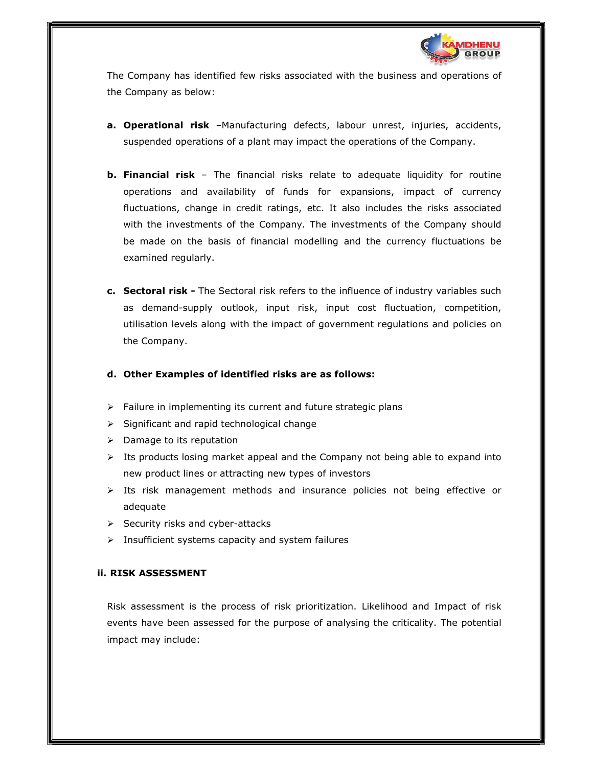

The Company has identified few risks associated with the business and operations of the Company as below:

- a. Operational risk -Manufacturing defects, labour unrest, injuries, accidents, suspended operations of a plant may impact the operations of the Company.
- **b. Financial risk** The financial risks relate to adequate liquidity for routine operations and availability of funds for expansions, impact of currency fluctuations, change in credit ratings, etc. It also includes the risks associated with the investments of the Company. The investments of the Company should be made on the basis of financial modelling and the currency fluctuations be examined regularly.
- c. Sectoral risk The Sectoral risk refers to the influence of industry variables such as demand-supply outlook, input risk, input cost fluctuation, competition, utilisation levels along with the impact of government regulations and policies on the Company.

# d. Other Examples of identified risks are as follows:

- $\triangleright$  Failure in implementing its current and future strategic plans
- $\triangleright$  Significant and rapid technological change
- $\triangleright$  Damage to its reputation
- $\triangleright$  Its products losing market appeal and the Company not being able to expand into new product lines or attracting new types of investors
- $\triangleright$  Its risk management methods and insurance policies not being effective or adequate
- $\triangleright$  Security risks and cyber-attacks
- $\triangleright$  Insufficient systems capacity and system failures

#### ii. RISK ASSESSMENT

Risk assessment is the process of risk prioritization. Likelihood and Impact of risk events have been assessed for the purpose of analysing the criticality. The potential impact may include: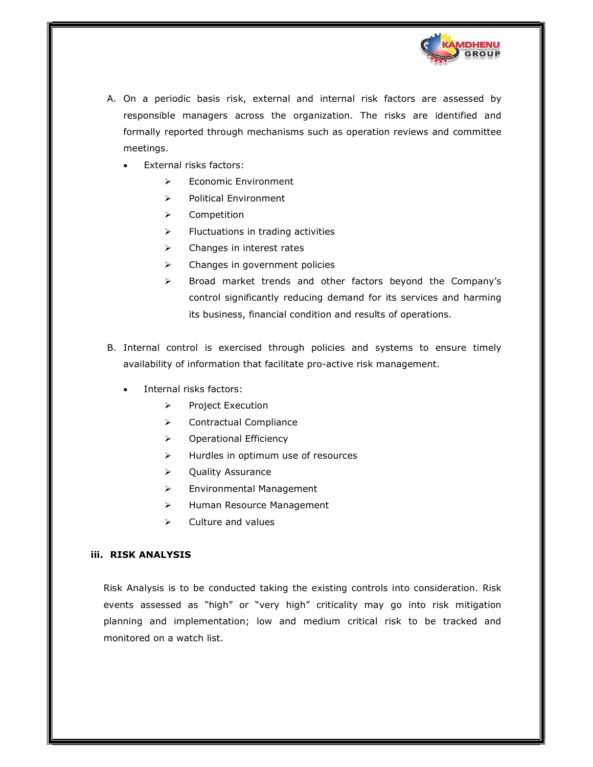

- A. On a periodic basis risk, external and internal risk factors are assessed by responsible managers across the organization. The risks are identified and formally reported through mechanisms such as operation reviews and committee meetings.
	- External risks factors:
		- Economic Environment
		- $\triangleright$  Political Environment
		- $\triangleright$  Competition
		- $\triangleright$  Fluctuations in trading activities
		- $\triangleright$  Changes in interest rates
		- $\triangleright$  Changes in government policies
		- > Broad market trends and other factors beyond the Company's control significantly reducing demand for its services and harming its business, financial condition and results of operations.
- B. Internal control is exercised through policies and systems to ensure timely availability of information that facilitate pro-active risk management.
	- Internal risks factors:
		- $\triangleright$  Project Execution
		- **▶ Contractual Compliance**
		- > Operational Efficiency
		- $\triangleright$  Hurdles in optimum use of resources
		- **▶** Quality Assurance
		- > Environmental Management
		- > Human Resource Management
		- $\triangleright$  Culture and values

#### iii. RISK ANALYSIS

Risk Analysis is to be conducted taking the existing controls into consideration. Risk events assessed as "high" or "very high" criticality may go into risk mitigation planning and implementation; low and medium critical risk to be tracked and monitored on a watch list.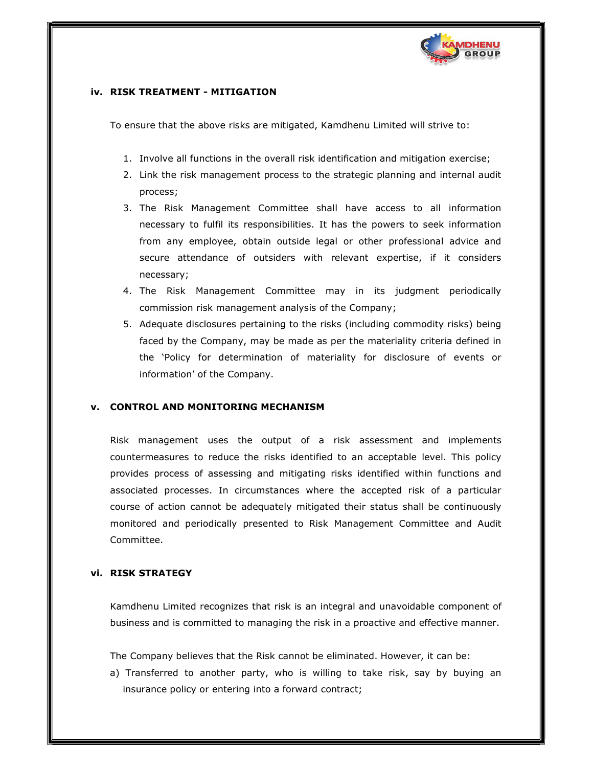

### iv. RISK TREATMENT - MITIGATION

To ensure that the above risks are mitigated, Kamdhenu Limited will strive to:

- 1. Involve all functions in the overall risk identification and mitigation exercise;
- 2. Link the risk management process to the strategic planning and internal audit process;
- 3. The Risk Management Committee shall have access to all information necessary to fulfil its responsibilities. It has the powers to seek information from any employee, obtain outside legal or other professional advice and secure attendance of outsiders with relevant expertise, if it considers necessary;
- 4. The Risk Management Committee may in its judgment periodically commission risk management analysis of the Company;
- 5. Adequate disclosures pertaining to the risks (including commodity risks) being faced by the Company, may be made as per the materiality criteria defined in the 'Policy for determination of materiality for disclosure of events or information' of the Company.

#### **CONTROL AND MONITORING MECHANISM**

Risk management uses the output of a risk assessment and implements countermeasures to reduce the risks identified to an acceptable level. This policy provides process of assessing and mitigating risks identified within functions and associated processes. In circumstances where the accepted risk of a particular course of action cannot be adequately mitigated their status shall be continuously monitored and periodically presented to Risk Management Committee and Audit Committee.

#### vi. RISK STRATEGY

Kamdhenu Limited recognizes that risk is an integral and unavoidable component of business and is committed to managing the risk in a proactive and effective manner.

The Company believes that the Risk cannot be eliminated. However, it can be:

a) Transferred to another party, who is willing to take risk, say by buying an insurance policy or entering into a forward contract;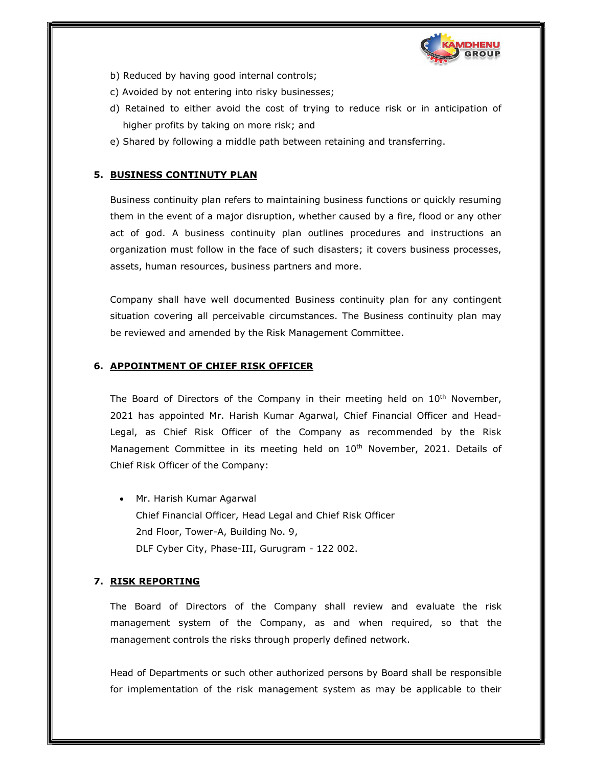

- b) Reduced by having good internal controls;
- c) Avoided by not entering into risky businesses;
- d) Retained to either avoid the cost of trying to reduce risk or in anticipation of higher profits by taking on more risk; and
- e) Shared by following a middle path between retaining and transferring.

# 5. BUSINESS CONTINUTY PLAN

Business continuity plan refers to maintaining business functions or quickly resuming them in the event of a major disruption, whether caused by a fire, flood or any other act of god. A business continuity plan outlines procedures and instructions an organization must follow in the face of such disasters; it covers business processes, assets, human resources, business partners and more.

Company shall have well documented Business continuity plan for any contingent situation covering all perceivable circumstances. The Business continuity plan may be reviewed and amended by the Risk Management Committee.

# 6. APPOINTMENT OF CHIEF RISK OFFICER

The Board of Directors of the Company in their meeting held on 10<sup>th</sup> November, 2021 has appointed Mr. Harish Kumar Agarwal, Chief Financial Officer and Head-Legal, as Chief Risk Officer of the Company as recommended by the Risk Management Committee in its meeting held on 10<sup>th</sup> November, 2021. Details of Chief Risk Officer of the Company:

 Mr. Harish Kumar Agarwal Chief Financial Officer, Head Legal and Chief Risk Officer 2nd Floor, Tower-A, Building No. 9, DLF Cyber City, Phase-III, Gurugram - 122 002.

# 7. RISK REPORTING

The Board of Directors of the Company shall review and evaluate the risk management system of the Company, as and when required, so that the management controls the risks through properly defined network.

Head of Departments or such other authorized persons by Board shall be responsible for implementation of the risk management system as may be applicable to their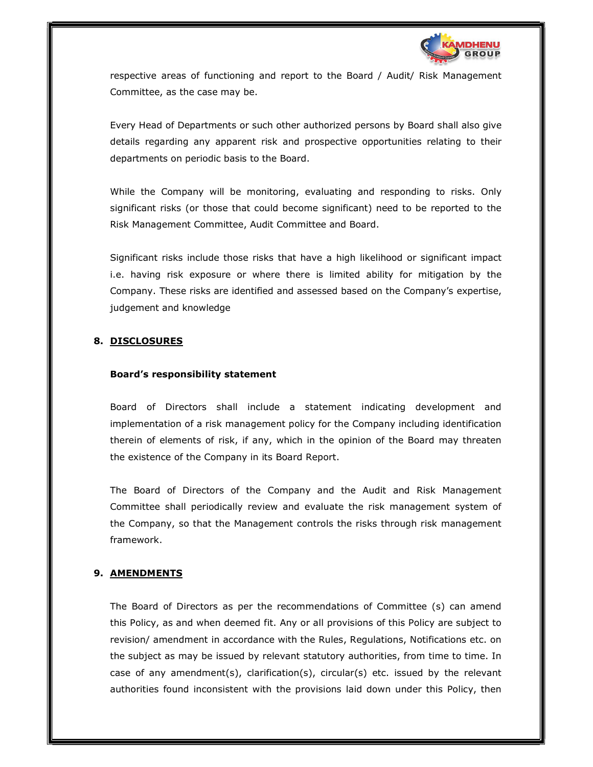

respective areas of functioning and report to the Board / Audit/ Risk Management Committee, as the case may be.

Every Head of Departments or such other authorized persons by Board shall also give details regarding any apparent risk and prospective opportunities relating to their departments on periodic basis to the Board.

While the Company will be monitoring, evaluating and responding to risks. Only significant risks (or those that could become significant) need to be reported to the Risk Management Committee, Audit Committee and Board.

Significant risks include those risks that have a high likelihood or significant impact i.e. having risk exposure or where there is limited ability for mitigation by the Company. These risks are identified and assessed based on the Company's expertise, judgement and knowledge

# 8. DISCLOSURES

# Board's responsibility statement

Board of Directors shall include a statement indicating development and implementation of a risk management policy for the Company including identification therein of elements of risk, if any, which in the opinion of the Board may threaten the existence of the Company in its Board Report.

The Board of Directors of the Company and the Audit and Risk Management Committee shall periodically review and evaluate the risk management system of the Company, so that the Management controls the risks through risk management framework.

# 9. AMENDMENTS

The Board of Directors as per the recommendations of Committee (s) can amend this Policy, as and when deemed fit. Any or all provisions of this Policy are subject to revision/ amendment in accordance with the Rules, Regulations, Notifications etc. on the subject as may be issued by relevant statutory authorities, from time to time. In case of any amendment(s), clarification(s), circular(s) etc. issued by the relevant authorities found inconsistent with the provisions laid down under this Policy, then